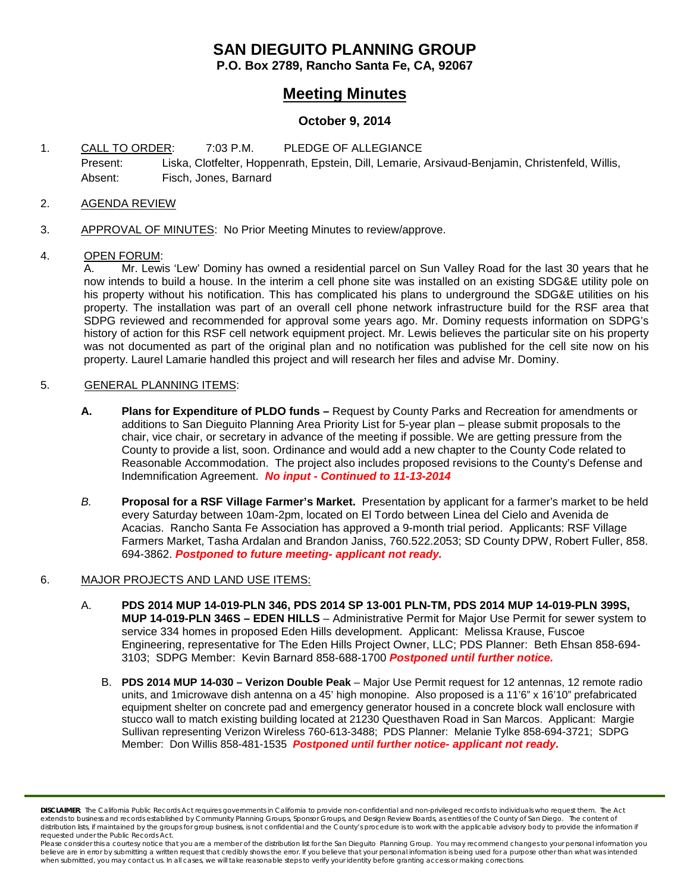## **SAN DIEGUITO PLANNING GROUP**

**P.O. Box 2789, Rancho Santa Fe, CA, 92067**

### **Meeting Minutes**

### **October 9, 2014**

1. CALL TO ORDER: 7:03 P.M. PLEDGE OF ALLEGIANCE Present: Liska, Clotfelter, Hoppenrath, Epstein, Dill, Lemarie, Arsivaud-Benjamin, Christenfeld, Willis, Absent: Fisch, Jones, Barnard

### 2. AGENDA REVIEW

3. APPROVAL OF MINUTES: No Prior Meeting Minutes to review/approve.

# 4. <u>OPEN FORUM</u>:<br>A. Mr. Lewi

Mr. Lewis 'Lew' Dominy has owned a residential parcel on Sun Valley Road for the last 30 years that he now intends to build a house. In the interim a cell phone site was installed on an existing SDG&E utility pole on his property without his notification. This has complicated his plans to underground the SDG&E utilities on his property. The installation was part of an overall cell phone network infrastructure build for the RSF area that SDPG reviewed and recommended for approval some years ago. Mr. Dominy requests information on SDPG's history of action for this RSF cell network equipment project. Mr. Lewis believes the particular site on his property was not documented as part of the original plan and no notification was published for the cell site now on his property. Laurel Lamarie handled this project and will research her files and advise Mr. Dominy.

### 5. GENERAL PLANNING ITEMS:

- **A. Plans for Expenditure of PLDO funds –** Request by County Parks and Recreation for amendments or additions to San Dieguito Planning Area Priority List for 5-year plan – please submit proposals to the chair, vice chair, or secretary in advance of the meeting if possible. We are getting pressure from the County to provide a list, soon. Ordinance and would add a new chapter to the County Code related to Reasonable Accommodation. The project also includes proposed revisions to the County's Defense and Indemnification Agreement. *No input - Continued to 11-13-2014*
- *B.* **Proposal for a RSF Village Farmer's Market.** Presentation by applicant for a farmer's market to be held every Saturday between 10am-2pm, located on El Tordo between Linea del Cielo and Avenida de Acacias. Rancho Santa Fe Association has approved a 9-month trial period. Applicants: RSF Village Farmers Market, Tasha Ardalan and Brandon Janiss, 760.522.2053; SD County DPW, Robert Fuller, 858. 694-3862. *Postponed to future meeting- applicant not ready.*

#### 6. MAJOR PROJECTS AND LAND USE ITEMS:

- A. **PDS 2014 MUP 14-019-PLN 346, PDS 2014 SP 13-001 PLN-TM, PDS 2014 MUP 14-019-PLN 399S, MUP 14-019-PLN 346S – EDEN HILLS** – Administrative Permit for Major Use Permit for sewer system to service 334 homes in proposed Eden Hills development. Applicant: Melissa Krause, Fuscoe Engineering, representative for The Eden Hills Project Owner, LLC; PDS Planner: Beth Ehsan 858-694- 3103; SDPG Member: Kevin Barnard 858-688-1700 *Postponed until further notice.*
	- B. **PDS 2014 MUP 14-030 – Verizon Double Peak** Major Use Permit request for 12 antennas, 12 remote radio units, and 1 microwave dish antenna on a 45' high monopine. Also proposed is a 11'6" x 16'10" prefabricated equipment shelter on concrete pad and emergency generator housed in a concrete block wall enclosure with stucco wall to match existing building located at 21230 Questhaven Road in San Marcos. Applicant: Margie Sullivan representing Verizon Wireless 760-613-3488; PDS Planner: Melanie Tylke 858-694-3721; SDPG Member: Don Willis 858-481-1535 *Postponed until further notice- applicant not ready.*

*DISCLAIMER; The California Public Records Act requires governments in California to provide non-confidential and non-privileged records to individuals who request them. The Act*  extends to business and records established by Community Planning Groups, Sponsor Groups, and Design Review Boards, as entities of the County of San Diego. The content of distribution lists, if maintained by the groups for group business, is not confidential and the County's procedure is to work with the applicable advisory body to provide the information if *requested under the Public Records Act.*

Please consider this a courtesy notice that you are a member of the distribution list for the San Dieguito Planning Group. You may recommend changes to your personal information you believe are in error by submitting a written request that credibly shows the error. If you believe that your personal information is being used for a purpose other than what was intended<br>when submitted, you may contact us.